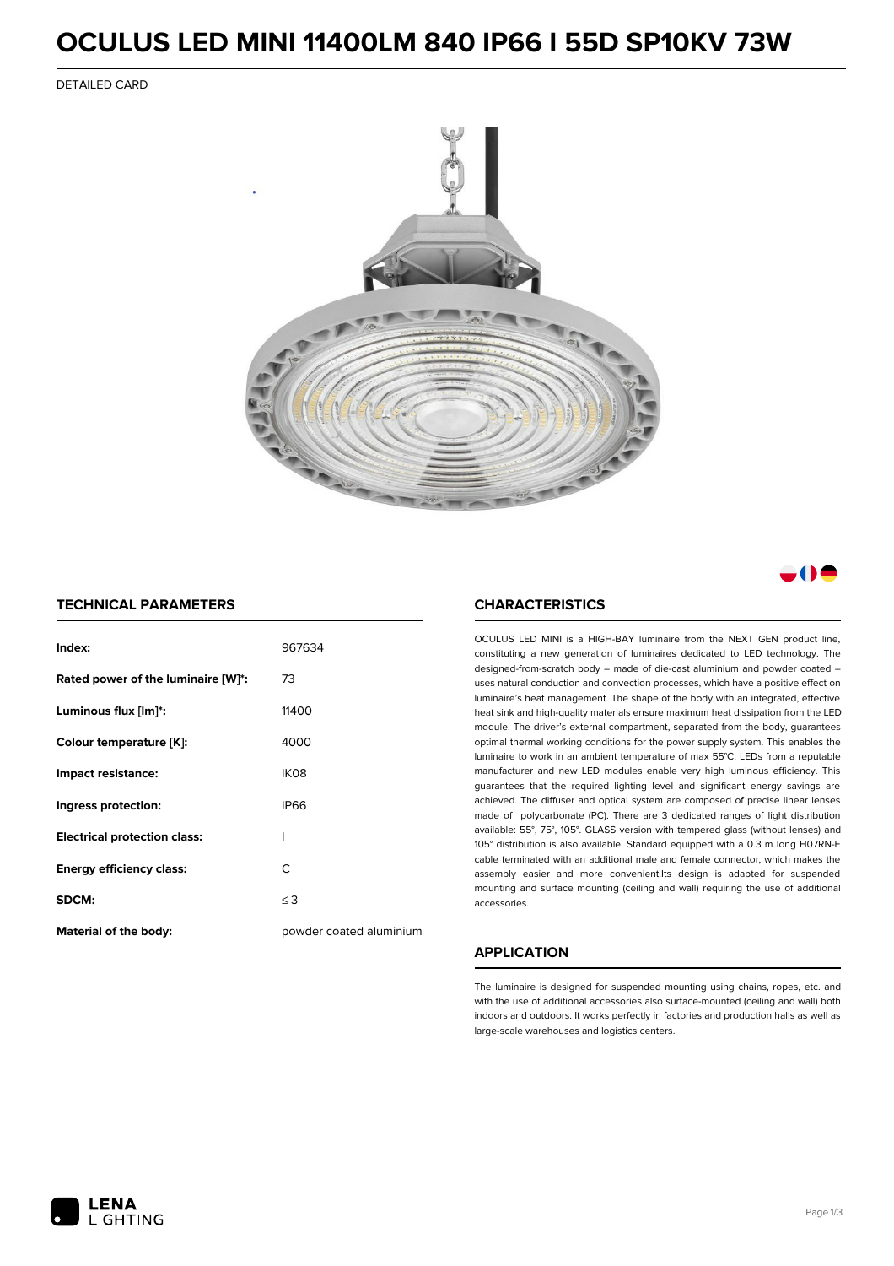### **OCULUS LED MINI 11400LM 840 IP66 I 55D SP10KV 73W**

DETAILED CARD



### . . . .

### **TECHNICAL PARAMETERS**

| Index:                              | 967634                  |
|-------------------------------------|-------------------------|
| Rated power of the luminaire [W]*:  | 73                      |
| Luminous flux [lm]*:                | 11400                   |
| Colour temperature [K]:             | 4000                    |
| Impact resistance:                  | IK <sub>08</sub>        |
| Ingress protection:                 | <b>IP66</b>             |
| <b>Electrical protection class:</b> | ı                       |
| <b>Energy efficiency class:</b>     | C                       |
| SDCM:                               | $\leq$ 3                |
| Material of the body:               | powder coated aluminium |

#### **CHARACTERISTICS**

OCULUS LED MINI is a HIGH-BAY luminaire from the NEXT GEN product line, constituting a new generation of luminaires dedicated to LED technology. The designed-from-scratch body – made of die-cast aluminium and powder coated – uses natural conduction and convection processes, which have a positive effect on luminaire's heat management. The shape of the body with an integrated, effective heat sink and high-quality materials ensure maximum heat dissipation from the LED module. The driver's external compartment, separated from the body, guarantees optimal thermal working conditions for the power supply system. This enables the luminaire to work in an ambient temperature of max 55°C. LEDs from a reputable manufacturer and new LED modules enable very high luminous efficiency. This guarantees that the required lighting level and significant energy savings are achieved. The diffuser and optical system are composed of precise linear lenses made of polycarbonate (PC). There are 3 dedicated ranges of light distribution available: 55°, 75°, 105°. GLASS version with tempered glass (without lenses) and 105° distribution is also available. Standard equipped with a 0.3 m long H07RN-F cable terminated with an additional male and female connector, which makes the assembly easier and more convenient.Its design is adapted for suspended mounting and surface mounting (ceiling and wall) requiring the use of additional accessories.

### **APPLICATION**

The luminaire is designed for suspended mounting using chains, ropes, etc. and with the use of additional accessories also surface-mounted (ceiling and wall) both indoors and outdoors. It works perfectly in factories and production halls as well as large-scale warehouses and logistics centers.

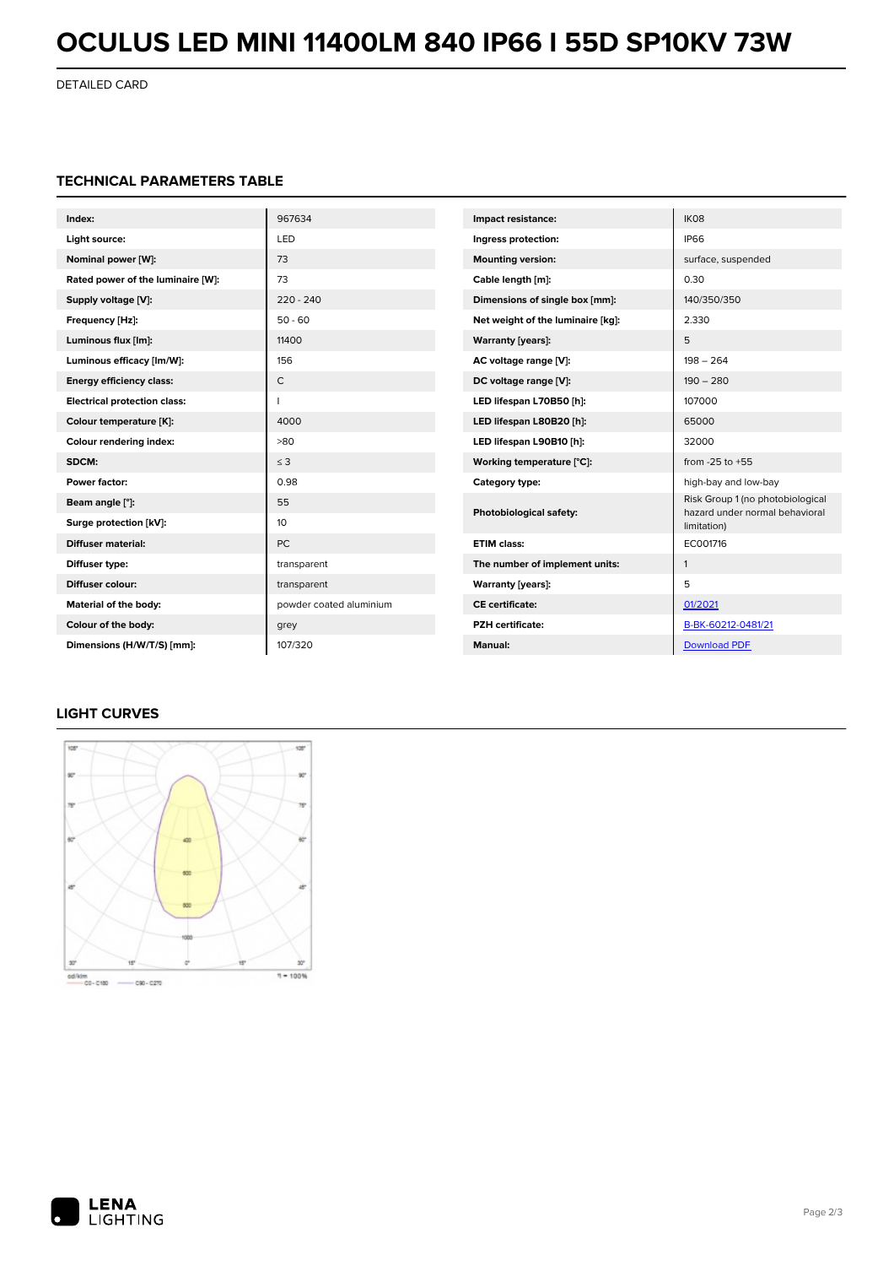# **OCULUS LED MINI 11400LM 840 IP66 I 55D SP10KV 73W**

DETAILED CARD

### **TECHNICAL PARAMETERS TABLE**

| Index:                              | 967634                  | Impact resistance:                                                       | IK08                             |
|-------------------------------------|-------------------------|--------------------------------------------------------------------------|----------------------------------|
| Light source:                       | LED                     | Ingress protection:                                                      | <b>IP66</b>                      |
| Nominal power [W]:                  | 73                      | <b>Mounting version:</b>                                                 | surface, suspended               |
| Rated power of the luminaire [W]:   | 73                      | Cable length [m]:                                                        | 0.30                             |
| Supply voltage [V]:                 | $220 - 240$             | Dimensions of single box [mm]:                                           | 140/350/350                      |
| Frequency [Hz]:                     | $50 - 60$               | Net weight of the luminaire [kg]:                                        | 2.330                            |
| Luminous flux [lm]:                 | 11400                   | <b>Warranty [years]:</b>                                                 | 5                                |
| Luminous efficacy [lm/W]:           | 156                     | AC voltage range [V]:                                                    | $198 - 264$                      |
| <b>Energy efficiency class:</b>     | C                       | DC voltage range [V]:                                                    | $190 - 280$                      |
| <b>Electrical protection class:</b> |                         | LED lifespan L70B50 [h]:                                                 | 107000                           |
| Colour temperature [K]:             | 4000                    | LED lifespan L80B20 [h]:                                                 | 65000                            |
| Colour rendering index:             | >80                     | LED lifespan L90B10 [h]:                                                 | 32000                            |
| SDCM:                               | $\leq$ 3                | Working temperature [°C]:                                                | from $-25$ to $+55$              |
| Power factor:                       | 0.98                    | Category type:                                                           | high-bay and low-bay             |
| Beam angle [°]:                     | 55                      | Photobiological safety:<br>hazard under normal behavioral<br>limitation) | Risk Group 1 (no photobiological |
| Surge protection [kV]:              | 10                      |                                                                          |                                  |
| <b>Diffuser material:</b>           | <b>PC</b>               | <b>ETIM class:</b>                                                       | EC001716                         |
| Diffuser type:                      | transparent             | The number of implement units:                                           | $\mathbf{1}$                     |
| Diffuser colour:                    | transparent             | <b>Warranty [years]:</b>                                                 | 5                                |
| Material of the body:               | powder coated aluminium | <b>CE</b> certificate:                                                   | 01/2021                          |
| Colour of the body:                 | grey                    | <b>PZH</b> certificate:                                                  | B-BK-60212-0481/21               |
| Dimensions (H/W/T/S) [mm]:          | 107/320                 | <b>Manual:</b>                                                           | <b>Download PDF</b>              |

### **LIGHT CURVES**



od/kim<br>CD-C180 - C90-C270